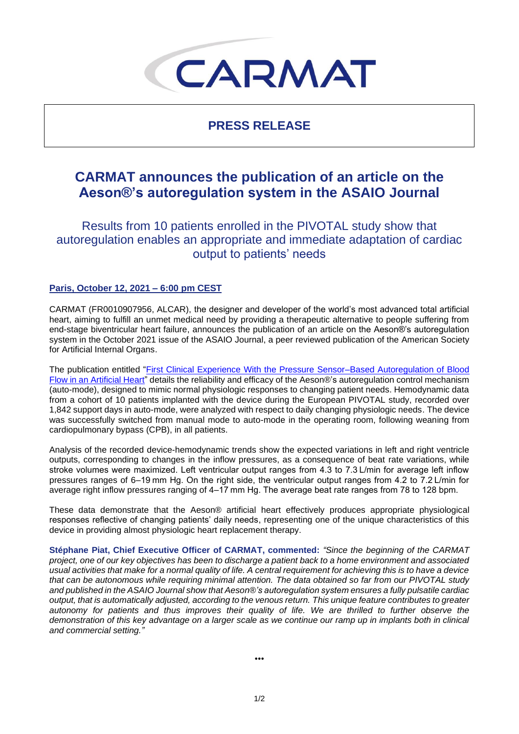# CARMAT

## **PRESS RELEASE**

# **CARMAT announces the publication of an article on the Aeson®'s autoregulation system in the ASAIO Journal**

Results from 10 patients enrolled in the PIVOTAL study show that autoregulation enables an appropriate and immediate adaptation of cardiac output to patients' needs

## **Paris, October 12, 2021 – 6:00 pm CEST**

CARMAT (FR0010907956, ALCAR), the designer and developer of the world's most advanced total artificial heart, aiming to fulfill an unmet medical need by providing a therapeutic alternative to people suffering from end-stage biventricular heart failure, announces the publication of an article on the Aeson®'s autoregulation system in the October 2021 issue of the ASAIO Journal, a peer reviewed publication of the American Society for Artificial Internal Organs.

The publication entitled ["First Clinical Experience With the Pressure Sensor–Based Autoregulation of Blood](https://journals.lww.com/asaiojournal/Fulltext/2021/10000/First_Clinical_Experience_With_the_Pressure.4.aspx?context=FeaturedArticles&collectionId=4)  [Flow in an Artificial Heart"](https://journals.lww.com/asaiojournal/Fulltext/2021/10000/First_Clinical_Experience_With_the_Pressure.4.aspx?context=FeaturedArticles&collectionId=4) details the reliability and efficacy of the Aeson®'s autoregulation control mechanism (auto-mode), designed to mimic normal physiologic responses to changing patient needs. Hemodynamic data from a cohort of 10 patients implanted with the device during the European PIVOTAL study, recorded over 1,842 support days in auto-mode, were analyzed with respect to daily changing physiologic needs. The device was successfully switched from manual mode to auto-mode in the operating room, following weaning from cardiopulmonary bypass (CPB), in all patients.

Analysis of the recorded device-hemodynamic trends show the expected variations in left and right ventricle outputs, corresponding to changes in the inflow pressures, as a consequence of beat rate variations, while stroke volumes were maximized. Left ventricular output ranges from 4.3 to 7.3 L/min for average left inflow pressures ranges of 6–19 mm Hg. On the right side, the ventricular output ranges from 4.2 to 7.2 L/min for average right inflow pressures ranging of 4–17 mm Hg. The average beat rate ranges from 78 to 128 bpm.

These data demonstrate that the Aeson® artificial heart effectively produces appropriate physiological responses reflective of changing patients' daily needs, representing one of the unique characteristics of this device in providing almost physiologic heart replacement therapy.

**Stéphane Piat, Chief Executive Officer of CARMAT, commented:** *"Since the beginning of the CARMAT project, one of our key objectives has been to discharge a patient back to a home environment and associated usual activities that make for a normal quality of life. A central requirement for achieving this is to have a device that can be autonomous while requiring minimal attention. The data obtained so far from our PIVOTAL study and published in the ASAIO Journal show that Aeson®'s autoregulation system ensures a fully pulsatile cardiac output, that is automatically adjusted, according to the venous return. This unique feature contributes to greater autonomy for patients and thus improves their quality of life. We are thrilled to further observe the demonstration of this key advantage on a larger scale as we continue our ramp up in implants both in clinical and commercial setting."*